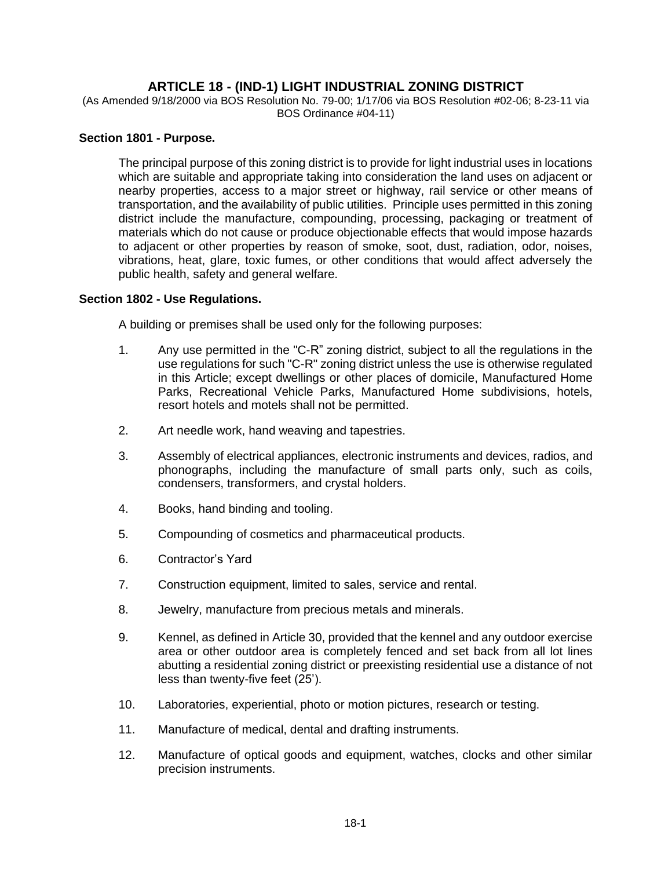# **ARTICLE 18 - (IND-1) LIGHT INDUSTRIAL ZONING DISTRICT**

(As Amended 9/18/2000 via BOS Resolution No. 79-00; 1/17/06 via BOS Resolution #02-06; 8-23-11 via BOS Ordinance #04-11)

## **Section 1801 - Purpose.**

The principal purpose of this zoning district is to provide for light industrial uses in locations which are suitable and appropriate taking into consideration the land uses on adjacent or nearby properties, access to a major street or highway, rail service or other means of transportation, and the availability of public utilities. Principle uses permitted in this zoning district include the manufacture, compounding, processing, packaging or treatment of materials which do not cause or produce objectionable effects that would impose hazards to adjacent or other properties by reason of smoke, soot, dust, radiation, odor, noises, vibrations, heat, glare, toxic fumes, or other conditions that would affect adversely the public health, safety and general welfare.

#### **Section 1802 - Use Regulations.**

A building or premises shall be used only for the following purposes:

- 1. Any use permitted in the "C-R" zoning district, subject to all the regulations in the use regulations for such "C-R" zoning district unless the use is otherwise regulated in this Article; except dwellings or other places of domicile, Manufactured Home Parks, Recreational Vehicle Parks, Manufactured Home subdivisions, hotels, resort hotels and motels shall not be permitted.
- 2. Art needle work, hand weaving and tapestries.
- 3. Assembly of electrical appliances, electronic instruments and devices, radios, and phonographs, including the manufacture of small parts only, such as coils, condensers, transformers, and crystal holders.
- 4. Books, hand binding and tooling.
- 5. Compounding of cosmetics and pharmaceutical products.
- 6. Contractor's Yard
- 7. Construction equipment, limited to sales, service and rental.
- 8. Jewelry, manufacture from precious metals and minerals.
- 9. Kennel, as defined in Article 30, provided that the kennel and any outdoor exercise area or other outdoor area is completely fenced and set back from all lot lines abutting a residential zoning district or preexisting residential use a distance of not less than twenty-five feet (25').
- 10. Laboratories, experiential, photo or motion pictures, research or testing.
- 11. Manufacture of medical, dental and drafting instruments.
- 12. Manufacture of optical goods and equipment, watches, clocks and other similar precision instruments.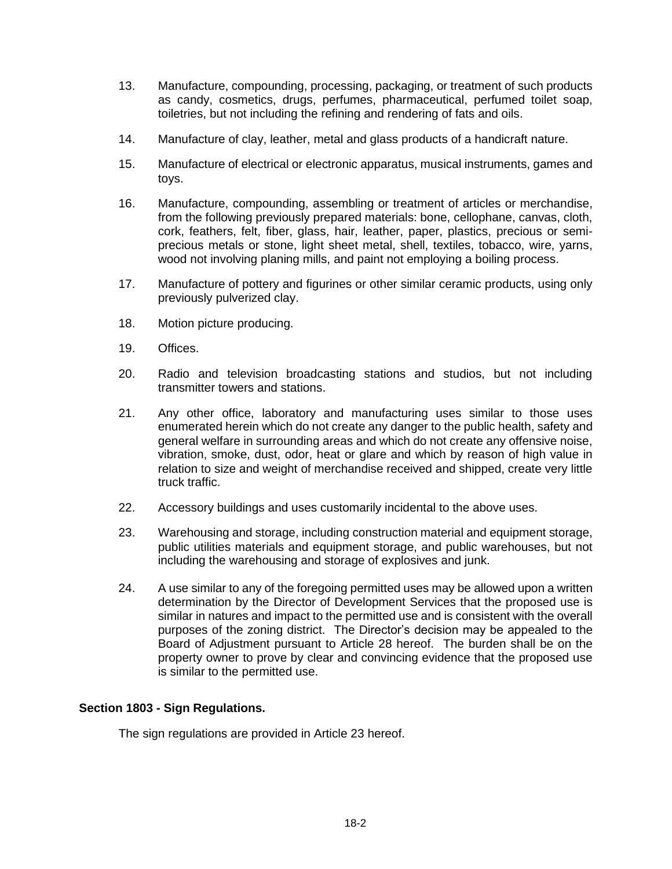- 13. Manufacture, compounding, processing, packaging, or treatment of such products as candy, cosmetics, drugs, perfumes, pharmaceutical, perfumed toilet soap, toiletries, but not including the refining and rendering of fats and oils.
- 14. Manufacture of clay, leather, metal and glass products of a handicraft nature.
- 15. Manufacture of electrical or electronic apparatus, musical instruments, games and toys.
- 16. Manufacture, compounding, assembling or treatment of articles or merchandise, from the following previously prepared materials: bone, cellophane, canvas, cloth, cork, feathers, felt, fiber, glass, hair, leather, paper, plastics, precious or semiprecious metals or stone, light sheet metal, shell, textiles, tobacco, wire, yarns, wood not involving planing mills, and paint not employing a boiling process.
- 17. Manufacture of pottery and figurines or other similar ceramic products, using only previously pulverized clay.
- 18. Motion picture producing.
- 19. Offices.
- 20. Radio and television broadcasting stations and studios, but not including transmitter towers and stations.
- 21. Any other office, laboratory and manufacturing uses similar to those uses enumerated herein which do not create any danger to the public health, safety and general welfare in surrounding areas and which do not create any offensive noise, vibration, smoke, dust, odor, heat or glare and which by reason of high value in relation to size and weight of merchandise received and shipped, create very little truck traffic.
- 22. Accessory buildings and uses customarily incidental to the above uses.
- 23. Warehousing and storage, including construction material and equipment storage, public utilities materials and equipment storage, and public warehouses, but not including the warehousing and storage of explosives and junk.
- 24. A use similar to any of the foregoing permitted uses may be allowed upon a written determination by the Director of Development Services that the proposed use is similar in natures and impact to the permitted use and is consistent with the overall purposes of the zoning district. The Director's decision may be appealed to the Board of Adjustment pursuant to Article 28 hereof. The burden shall be on the property owner to prove by clear and convincing evidence that the proposed use is similar to the permitted use.

## **Section 1803 - Sign Regulations.**

The sign regulations are provided in Article 23 hereof.